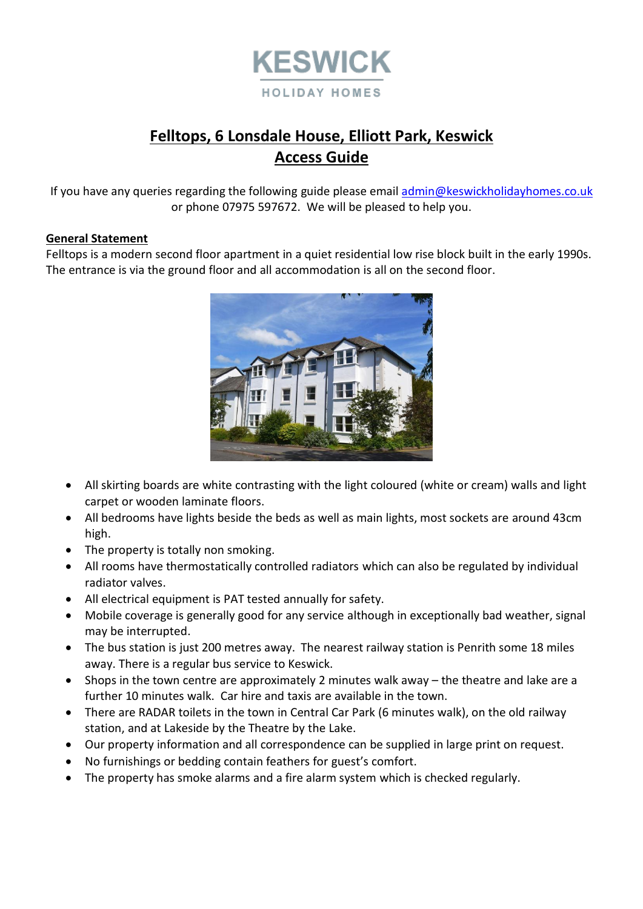

# **Felltops, 6 Lonsdale House, Elliott Park, Keswick Access Guide**

If you have any queries regarding the following guide please emai[l admin@keswickholidayhomes.co.uk](mailto:admin@keswickholidayhomes.co.uk) or phone 07975 597672. We will be pleased to help you.

#### **General Statement**

Felltops is a modern second floor apartment in a quiet residential low rise block built in the early 1990s. The entrance is via the ground floor and all accommodation is all on the second floor.



- All skirting boards are white contrasting with the light coloured (white or cream) walls and light carpet or wooden laminate floors.
- All bedrooms have lights beside the beds as well as main lights, most sockets are around 43cm high.
- The property is totally non smoking.
- All rooms have thermostatically controlled radiators which can also be regulated by individual radiator valves.
- All electrical equipment is PAT tested annually for safety.
- Mobile coverage is generally good for any service although in exceptionally bad weather, signal may be interrupted.
- The bus station is just 200 metres away. The nearest railway station is Penrith some 18 miles away. There is a regular bus service to Keswick.
- Shops in the town centre are approximately 2 minutes walk away the theatre and lake are a further 10 minutes walk. Car hire and taxis are available in the town.
- There are RADAR toilets in the town in Central Car Park (6 minutes walk), on the old railway station, and at Lakeside by the Theatre by the Lake.
- Our property information and all correspondence can be supplied in large print on request.
- No furnishings or bedding contain feathers for guest's comfort.
- The property has smoke alarms and a fire alarm system which is checked regularly.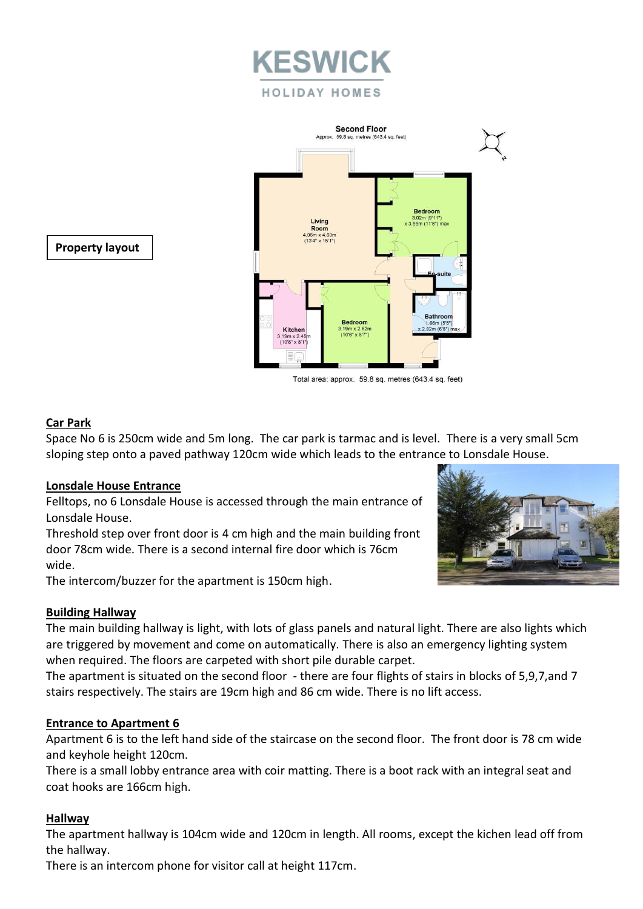



**Property layout**

Total area: approx. 59.8 sq. metres (643.4 sq. feet)

# **Car Park**

Space No 6 is 250cm wide and 5m long. The car park is tarmac and is level. There is a very small 5cm sloping step onto a paved pathway 120cm wide which leads to the entrance to Lonsdale House.

## **Lonsdale House Entrance**

Felltops, no 6 Lonsdale House is accessed through the main entrance of Lonsdale House.

Threshold step over front door is 4 cm high and the main building front door 78cm wide. There is a second internal fire door which is 76cm wide.

The intercom/buzzer for the apartment is 150cm high.



The main building hallway is light, with lots of glass panels and natural light. There are also lights which are triggered by movement and come on automatically. There is also an emergency lighting system when required. The floors are carpeted with short pile durable carpet.

The apartment is situated on the second floor - there are four flights of stairs in blocks of 5,9,7,and 7 stairs respectively. The stairs are 19cm high and 86 cm wide. There is no lift access.

## **Entrance to Apartment 6**

Apartment 6 is to the left hand side of the staircase on the second floor. The front door is 78 cm wide and keyhole height 120cm.

There is a small lobby entrance area with coir matting. There is a boot rack with an integral seat and coat hooks are 166cm high.

## **Hallway**

The apartment hallway is 104cm wide and 120cm in length. All rooms, except the kichen lead off from the hallway.

There is an intercom phone for visitor call at height 117cm.

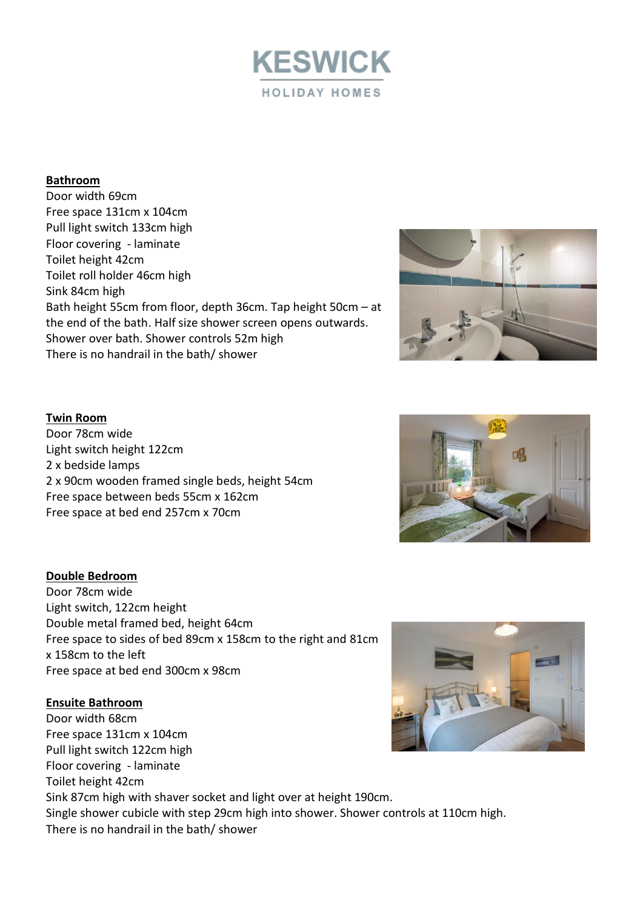

#### **Bathroom**

Door width 69cm Free space 131cm x 104cm Pull light switch 133cm high Floor covering - laminate Toilet height 42cm Toilet roll holder 46cm high Sink 84cm high Bath height 55cm from floor, depth 36cm. Tap height 50cm – at the end of the bath. Half size shower screen opens outwards. Shower over bath. Shower controls 52m high There is no handrail in the bath/ shower



#### **Twin Room**

Door 78cm wide Light switch height 122cm 2 x bedside lamps 2 x 90cm wooden framed single beds, height 54cm Free space between beds 55cm x 162cm Free space at bed end 257cm x 70cm

#### **Double Bedroom**

Door 78cm wide Light switch, 122cm height Double metal framed bed, height 64cm Free space to sides of bed 89cm x 158cm to the right and 81cm x 158cm to the left Free space at bed end 300cm x 98cm

#### **Ensuite Bathroom**

Door width 68cm Free space 131cm x 104cm Pull light switch 122cm high Floor covering - laminate Toilet height 42cm Sink 87cm high with shaver socket and light over at height 190cm. Single shower cubicle with step 29cm high into shower. Shower controls at 110cm high. There is no handrail in the bath/ shower